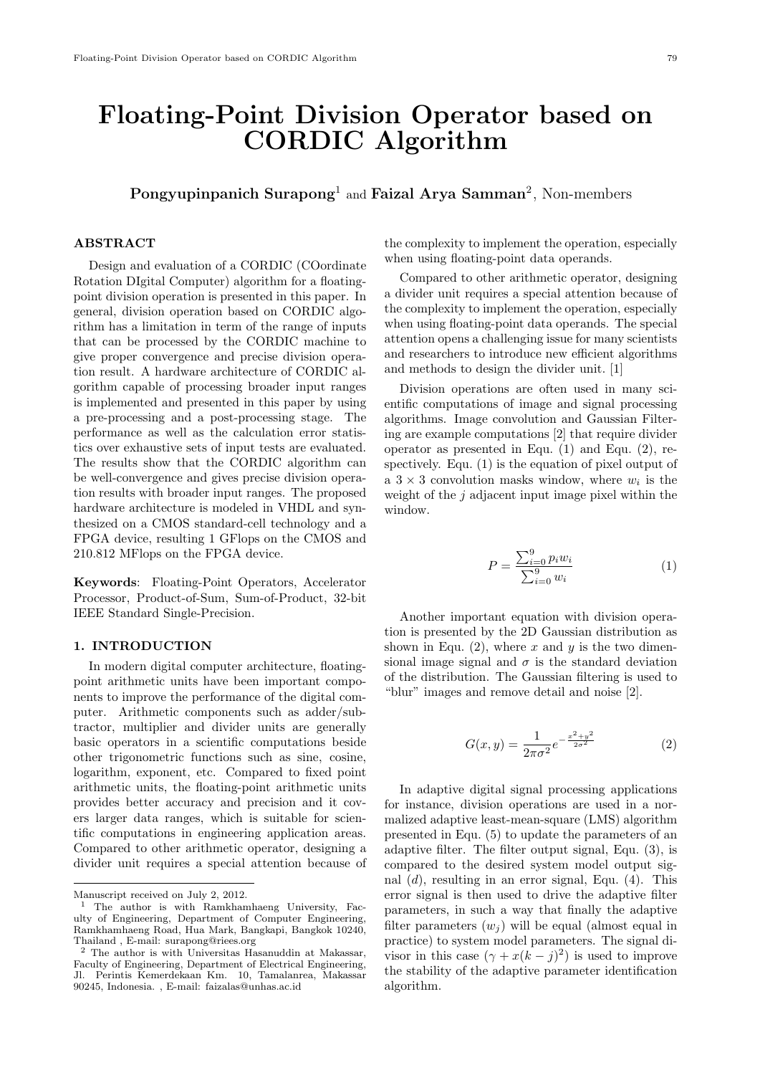# **Floating-Point Division Operator based on CORDIC Algorithm**

# **Pongyupinpanich Surapong**<sup>1</sup> and **Faizal Arya Samman**<sup>2</sup> , Non-members

#### **ABSTRACT**

Design and evaluation of a CORDIC (COordinate Rotation DIgital Computer) algorithm for a floatingpoint division operation is presented in this paper. In general, division operation based on CORDIC algorithm has a limitation in term of the range of inputs that can be processed by the CORDIC machine to give proper convergence and precise division operation result. A hardware architecture of CORDIC algorithm capable of processing broader input ranges is implemented and presented in this paper by using a pre-processing and a post-processing stage. The performance as well as the calculation error statistics over exhaustive sets of input tests are evaluated. The results show that the CORDIC algorithm can be well-convergence and gives precise division operation results with broader input ranges. The proposed hardware architecture is modeled in VHDL and synthesized on a CMOS standard-cell technology and a FPGA device, resulting 1 GFlops on the CMOS and 210.812 MFlops on the FPGA device.

**Keywords**: Floating-Point Operators, Accelerator Processor, Product-of-Sum, Sum-of-Product, 32-bit IEEE Standard Single-Precision.

#### **1. INTRODUCTION**

In modern digital computer architecture, floatingpoint arithmetic units have been important components to improve the performance of the digital computer. Arithmetic components such as adder/subtractor, multiplier and divider units are generally basic operators in a scientific computations beside other trigonometric functions such as sine, cosine, logarithm, exponent, etc. Compared to fixed point arithmetic units, the floating-point arithmetic units provides better accuracy and precision and it covers larger data ranges, which is suitable for scientific computations in engineering application areas. Compared to other arithmetic operator, designing a divider unit requires a special attention because of the complexity to implement the operation, especially when using floating-point data operands.

Compared to other arithmetic operator, designing a divider unit requires a special attention because of the complexity to implement the operation, especially when using floating-point data operands. The special attention opens a challenging issue for many scientists and researchers to introduce new efficient algorithms and methods to design the divider unit. [1]

Division operations are often used in many scientific computations of image and signal processing algorithms. Image convolution and Gaussian Filtering are example computations [2] that require divider operator as presented in Equ. (1) and Equ. (2), respectively. Equ. (1) is the equation of pixel output of a  $3 \times 3$  convolution masks window, where  $w_i$  is the weight of the *j* adjacent input image pixel within the window.

$$
P = \frac{\sum_{i=0}^{9} p_i w_i}{\sum_{i=0}^{9} w_i} \tag{1}
$$

Another important equation with division operation is presented by the 2D Gaussian distribution as shown in Equ.  $(2)$ , where *x* and *y* is the two dimensional image signal and  $\sigma$  is the standard deviation of the distribution. The Gaussian filtering is used to "blur" images and remove detail and noise [2].

$$
G(x,y) = \frac{1}{2\pi\sigma^2} e^{-\frac{x^2 + y^2}{2\sigma^2}}
$$
 (2)

In adaptive digital signal processing applications for instance, division operations are used in a normalized adaptive least-mean-square (LMS) algorithm presented in Equ. (5) to update the parameters of an adaptive filter. The filter output signal, Equ. (3), is compared to the desired system model output signal (*d*), resulting in an error signal, Equ. (4). This error signal is then used to drive the adaptive filter parameters, in such a way that finally the adaptive filter parameters  $(w_i)$  will be equal (almost equal in practice) to system model parameters. The signal divisor in this case  $(\gamma + x(k - j)^2)$  is used to improve the stability of the adaptive parameter identification algorithm.

Manuscript received on July 2, 2012.

<sup>1</sup> The author is with Ramkhamhaeng University, Faculty of Engineering, Department of Computer Engineering, Ramkhamhaeng Road, Hua Mark, Bangkapi, Bangkok 10240, Thailand , E-mail: surapong@riees.org

<sup>2</sup> The author is with Universitas Hasanuddin at Makassar, Faculty of Engineering, Department of Electrical Engineering, Jl. Perintis Kemerdekaan Km. 10, Tamalanrea, Makassar 90245, Indonesia. , E-mail: faizalas@unhas.ac.id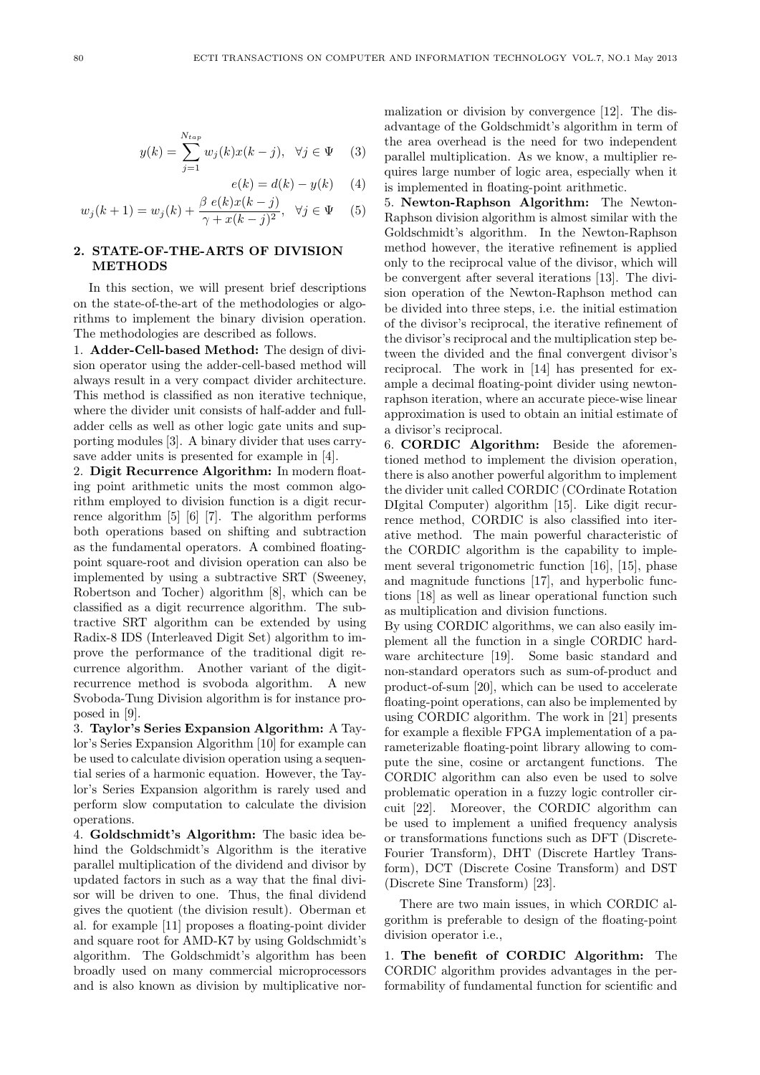$$
y(k) = \sum_{j=1}^{N_{tap}} w_j(k)x(k-j), \quad \forall j \in \Psi \quad (3)
$$

$$
e(k) = d(k) - y(k) \quad (4)
$$

$$
w_j(k+1) = w_j(k) + \frac{\beta e(k)x(k-j)}{\gamma + x(k-j)^2}, \quad \forall j \in \Psi \quad (5)
$$

# **2. STATE-OF-THE-ARTS OF DIVISION METHODS**

In this section, we will present brief descriptions on the state-of-the-art of the methodologies or algorithms to implement the binary division operation. The methodologies are described as follows.

1. **Adder-Cell-based Method:** The design of division operator using the adder-cell-based method will always result in a very compact divider architecture. This method is classified as non iterative technique, where the divider unit consists of half-adder and fulladder cells as well as other logic gate units and supporting modules [3]. A binary divider that uses carrysave adder units is presented for example in [4].

2. **Digit Recurrence Algorithm:** In modern floating point arithmetic units the most common algorithm employed to division function is a digit recurrence algorithm [5] [6] [7]. The algorithm performs both operations based on shifting and subtraction as the fundamental operators. A combined floatingpoint square-root and division operation can also be implemented by using a subtractive SRT (Sweeney, Robertson and Tocher) algorithm [8], which can be classified as a digit recurrence algorithm. The subtractive SRT algorithm can be extended by using Radix-8 IDS (Interleaved Digit Set) algorithm to improve the performance of the traditional digit recurrence algorithm. Another variant of the digitrecurrence method is svoboda algorithm. A new Svoboda-Tung Division algorithm is for instance proposed in [9].

3. **Taylor's Series Expansion Algorithm:** A Taylor's Series Expansion Algorithm [10] for example can be used to calculate division operation using a sequential series of a harmonic equation. However, the Taylor's Series Expansion algorithm is rarely used and perform slow computation to calculate the division operations.

4. **Goldschmidt's Algorithm:** The basic idea behind the Goldschmidt's Algorithm is the iterative parallel multiplication of the dividend and divisor by updated factors in such as a way that the final divisor will be driven to one. Thus, the final dividend gives the quotient (the division result). Oberman et al. for example [11] proposes a floating-point divider and square root for AMD-K7 by using Goldschmidt's algorithm. The Goldschmidt's algorithm has been broadly used on many commercial microprocessors and is also known as division by multiplicative normalization or division by convergence [12]. The disadvantage of the Goldschmidt's algorithm in term of the area overhead is the need for two independent parallel multiplication. As we know, a multiplier requires large number of logic area, especially when it is implemented in floating-point arithmetic.

5. **Newton-Raphson Algorithm:** The Newton-Raphson division algorithm is almost similar with the Goldschmidt's algorithm. In the Newton-Raphson method however, the iterative refinement is applied only to the reciprocal value of the divisor, which will be convergent after several iterations [13]. The division operation of the Newton-Raphson method can be divided into three steps, i.e. the initial estimation of the divisor's reciprocal, the iterative refinement of the divisor's reciprocal and the multiplication step between the divided and the final convergent divisor's reciprocal. The work in [14] has presented for example a decimal floating-point divider using newtonraphson iteration, where an accurate piece-wise linear approximation is used to obtain an initial estimate of a divisor's reciprocal.

6. **CORDIC Algorithm:** Beside the aforementioned method to implement the division operation, there is also another powerful algorithm to implement the divider unit called CORDIC (COrdinate Rotation DIgital Computer) algorithm [15]. Like digit recurrence method, CORDIC is also classified into iterative method. The main powerful characteristic of the CORDIC algorithm is the capability to implement several trigonometric function [16], [15], phase and magnitude functions [17], and hyperbolic functions [18] as well as linear operational function such as multiplication and division functions.

By using CORDIC algorithms, we can also easily implement all the function in a single CORDIC hardware architecture [19]. Some basic standard and non-standard operators such as sum-of-product and product-of-sum [20], which can be used to accelerate floating-point operations, can also be implemented by using CORDIC algorithm. The work in [21] presents for example a flexible FPGA implementation of a parameterizable floating-point library allowing to compute the sine, cosine or arctangent functions. The CORDIC algorithm can also even be used to solve problematic operation in a fuzzy logic controller circuit [22]. Moreover, the CORDIC algorithm can be used to implement a unified frequency analysis or transformations functions such as DFT (Discrete-Fourier Transform), DHT (Discrete Hartley Transform), DCT (Discrete Cosine Transform) and DST (Discrete Sine Transform) [23].

There are two main issues, in which CORDIC algorithm is preferable to design of the floating-point division operator i.e.,

1. **The benefit of CORDIC Algorithm:** The CORDIC algorithm provides advantages in the performability of fundamental function for scientific and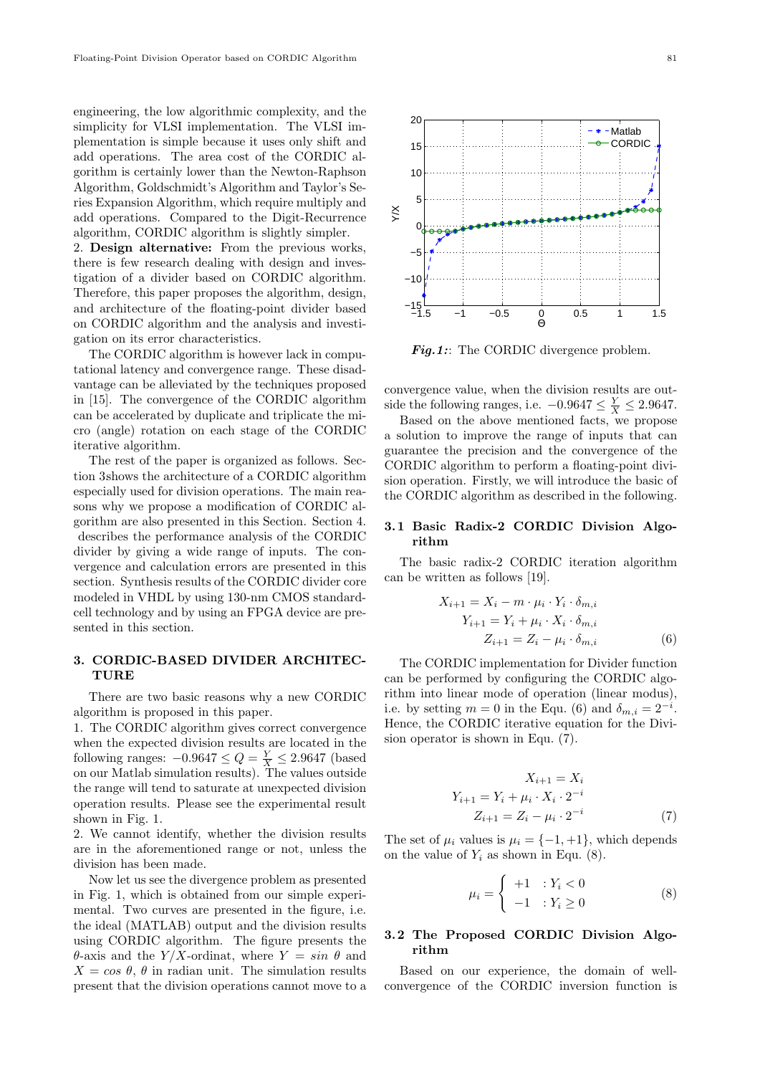engineering, the low algorithmic complexity, and the simplicity for VLSI implementation. The VLSI implementation is simple because it uses only shift and add operations. The area cost of the CORDIC algorithm is certainly lower than the Newton-Raphson Algorithm, Goldschmidt's Algorithm and Taylor's Series Expansion Algorithm, which require multiply and add operations. Compared to the Digit-Recurrence algorithm, CORDIC algorithm is slightly simpler.

2. **Design alternative:** From the previous works, there is few research dealing with design and investigation of a divider based on CORDIC algorithm. Therefore, this paper proposes the algorithm, design, and architecture of the floating-point divider based on CORDIC algorithm and the analysis and investigation on its error characteristics.

The CORDIC algorithm is however lack in computational latency and convergence range. These disadvantage can be alleviated by the techniques proposed in [15]. The convergence of the CORDIC algorithm can be accelerated by duplicate and triplicate the micro (angle) rotation on each stage of the CORDIC iterative algorithm.

The rest of the paper is organized as follows. Section 3.shows the architecture of a CORDIC algorithm especially used for division operations. The main reasons why we propose a modification of CORDIC algorithm are also presented in this Section. Section 4. describes the performance analysis of the CORDIC divider by giving a wide range of inputs. The convergence and calculation errors are presented in this section. Synthesis results of the CORDIC divider core modeled in VHDL by using 130-nm CMOS standardcell technology and by using an FPGA device are presented in this section.

# **3. CORDIC-BASED DIVIDER ARCHITEC-TURE**

There are two basic reasons why a new CORDIC algorithm is proposed in this paper.

1. The CORDIC algorithm gives correct convergence when the expected division results are located in the following ranges:  $-0.9647 \le Q = \frac{Y}{X} \le 2.9647$  (based on our Matlab simulation results). The values outside the range will tend to saturate at unexpected division operation results. Please see the experimental result shown in Fig. 1.

2. We cannot identify, whether the division results are in the aforementioned range or not, unless the division has been made.

Now let us see the divergence problem as presented in Fig. 1, which is obtained from our simple experimental. Two curves are presented in the figure, i.e. the ideal (MATLAB) output and the division results using CORDIC algorithm. The figure presents the *θ*-axis and the *Y/X*-ordinat, where *Y* = *sin θ* and  $X = \cos \theta$ ,  $\theta$  in radian unit. The simulation results present that the division operations cannot move to a



*Fig.1:*: The CORDIC divergence problem.

convergence value, when the division results are outside the following ranges, i.e.  $-0.9647 \leq \frac{Y}{X} \leq 2.9647$ .

Based on the above mentioned facts, we propose a solution to improve the range of inputs that can guarantee the precision and the convergence of the CORDIC algorithm to perform a floating-point division operation. Firstly, we will introduce the basic of the CORDIC algorithm as described in the following.

### **3.1 Basic Radix-2 CORDIC Division Algorithm**

The basic radix-2 CORDIC iteration algorithm can be written as follows [19].

$$
X_{i+1} = X_i - m \cdot \mu_i \cdot Y_i \cdot \delta_{m,i}
$$
  
\n
$$
Y_{i+1} = Y_i + \mu_i \cdot X_i \cdot \delta_{m,i}
$$
  
\n
$$
Z_{i+1} = Z_i - \mu_i \cdot \delta_{m,i}
$$
 (6)

The CORDIC implementation for Divider function can be performed by configuring the CORDIC algorithm into linear mode of operation (linear modus), i.e. by setting  $m = 0$  in the Equ. (6) and  $\delta_{m,i} = 2^{-i}$ . Hence, the CORDIC iterative equation for the Division operator is shown in Equ. (7).

$$
X_{i+1} = X_i
$$
  
\n
$$
Y_{i+1} = Y_i + \mu_i \cdot X_i \cdot 2^{-i}
$$
  
\n
$$
Z_{i+1} = Z_i - \mu_i \cdot 2^{-i}
$$
 (7)

The set of  $\mu_i$  values is  $\mu_i = \{-1, +1\}$ , which depends on the value of  $Y_i$  as shown in Equ.  $(8)$ .

$$
\mu_i = \begin{cases}\n+1 & : Y_i < 0 \\
-1 & : Y_i \ge 0\n\end{cases} \tag{8}
$$

# **3.2 The Proposed CORDIC Division Algorithm**

Based on our experience, the domain of wellconvergence of the CORDIC inversion function is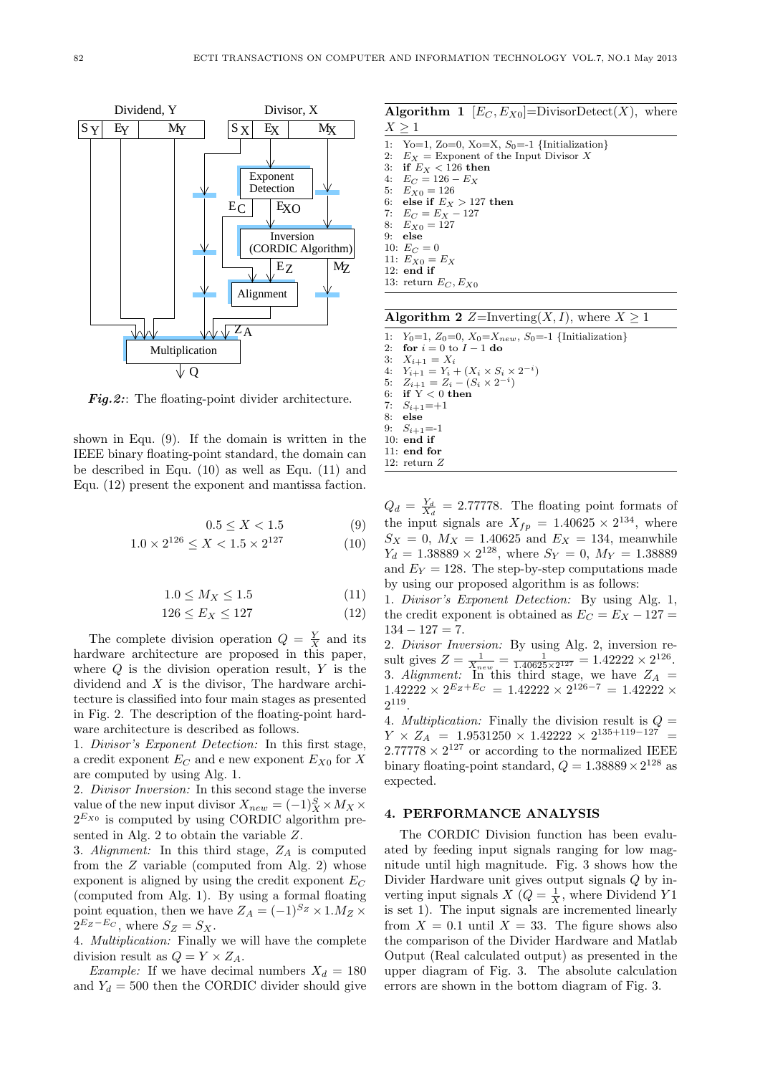

Fig.2:: The floating-point divider architecture.

shown in Equ. (9). If the domain is written in the IEEE binary floating-point standard, the domain can be described in Equ. (10) as well as Equ. (11) and Equ. (12) present the exponent and mantissa faction.

$$
0.5 \le X < 1.5 \tag{9}
$$

$$
1.0 \times 2^{126} \le X < 1.5 \times 2^{127} \tag{10}
$$

$$
1.0 \le M_X \le 1.5\tag{11}
$$

$$
126 \le E_X \le 127\tag{12}
$$

The complete division operation  $Q = \frac{Y}{X}$  and its hardware architecture are proposed in this paper, where *Q* is the division operation result, *Y* is the dividend and *X* is the divisor, The hardware architecture is classified into four main stages as presented in Fig. 2. The description of the floating-point hardware architecture is described as follows.

1. *Divisor's Exponent Detection:* In this first stage, a credit exponent  $E_C$  and e new exponent  $E_{X0}$  for  $X$ are computed by using Alg. 1.

2. *Divisor Inversion:* In this second stage the inverse value of the new input divisor  $X_{new} = (-1)_{X}^{S} \times M_{X} \times$  $2^{E_{X0}}$  is computed by using CORDIC algorithm presented in Alg. 2 to obtain the variable *Z*.

3. *Alignment:* In this third stage, *Z<sup>A</sup>* is computed from the *Z* variable (computed from Alg. 2) whose exponent is aligned by using the credit exponent *E<sup>C</sup>* (computed from Alg. 1). By using a formal floating point equation, then we have  $Z_A = (-1)^{S_Z} \times 1.M_Z \times$  $2^{E_Z - E_C}$ , where  $S_Z = S_X$ .

4. *Multiplication:* Finally we will have the complete division result as  $Q = Y \times Z_A$ .

*Example:* If we have decimal numbers  $X_d = 180$ and  $Y_d = 500$  then the CORDIC divider should give

**Algorithm 1**  $[E_C, E_{X0}] = \text{DivisorDetect}(X)$ , where *X ≥* 1 1: Yo=1, Zo=0, Xo=X, *S*0=-1 *{*Initialization*}* 2:  $E_X$  = Exponent of the Input Divisor *X*<br>3: **if**  $E_X$  < 126 **then** 3: **if**  $E_X < 126$  **then**<br>4:  $E_C = 126 - E_Y$  $E_C = 126 - E_X$ 5:  $E_{X0} = 126$ <br>6: **else if**  $E_X$ 6: **else if**  $E_X > 127$  then<br>7:  $E_C = E_X - 127$ 7:  $E_C = E_X - 127$ <br>8:  $E_{X0} = 127$ 8:  $E_{X0} = 127$ <br>9: **else** 9: **else** 10:  $E_C = 0$ 11:  $E_{X0} = E_X$ 12: **end if** 13: return  $E_C, E_{X0}$ 

| <b>Algorithm 2</b> Z=Inverting( <i>X, I</i> ), where $X \ge 1$ |  |  |  |  |  |  |  |  |  |
|----------------------------------------------------------------|--|--|--|--|--|--|--|--|--|
|----------------------------------------------------------------|--|--|--|--|--|--|--|--|--|

1:  $Y_0=1, Z_0=0, X_0=X_{new}, S_0=-1$  {Initialization}<br>2: for  $i=0$  to  $I=1$ **do** 2: **for**  $i = 0$  to  $I - 1$  **do**<br>3:  $X_{i+1} = X_i$ 3:  $X_{i+1} = X_i$ <br>4:  $Y_{i+1} = Y_i$ 4:  $Y_{i+1} = Y_i + (X_i \times S_i \times 2^{-i})$ 5:  $Z_{i+1} = Z_i - (S_i \times 2^{-i})$ 6: **if** Y *<* 0 **then** 7:  $S_{i+1} = +1$ 8: **else** 9:  $S_{i+1} = -1$ 10: **end if** 11: **end for** 12: return *Z*

 $Q_d = \frac{Y_d}{X_d} = 2.77778$ . The floating point formats of the input signals are  $X_{fp} = 1.40625 \times 2^{134}$ , where  $S_X = 0$ ,  $M_X = 1.40625$  and  $E_X = 134$ , meanwhile  $Y_d = 1.38889 \times 2^{128}$ , where  $S_Y = 0$ ,  $M_Y = 1.38889$ and  $E_Y = 128$ . The step-by-step computations made by using our proposed algorithm is as follows:

1. *Divisor's Exponent Detection:* By using Alg. 1, the credit exponent is obtained as  $E_C = E_X - 127$ 134 *−* 127 = 7.

2. *Divisor Inversion:* By using Alg. 2, inversion result gives  $Z = \frac{1}{X^{new}} = \frac{1}{1.40625 \times 2^{127}} = 1.42222 \times 2^{126}$ . 3. *Alignment:* In this third stage, we have  $Z_A =$  $1.42222 \times 2^{E_z + E_C} = 1.42222 \times 2^{126-7} = 1.42222 \times$  $2^{119}$ .

4. *Multiplication:* Finally the division result is  $Q =$  $Y \times Z_A = 1.9531250 \times 1.42222 \times 2^{135+119-127}$  $2.77778 \times 2^{127}$  or according to the normalized IEEE binary floating-point standard,  $Q = 1.38889 \times 2^{128}$  as expected.

#### **4. PERFORMANCE ANALYSIS**

The CORDIC Division function has been evaluated by feeding input signals ranging for low magnitude until high magnitude. Fig. 3 shows how the Divider Hardware unit gives output signals *Q* by inverting input signals *X* ( $Q = \frac{1}{X}$ , where Dividend *Y* 1 is set 1). The input signals are incremented linearly from  $X = 0.1$  until  $X = 33$ . The figure shows also the comparison of the Divider Hardware and Matlab Output (Real calculated output) as presented in the upper diagram of Fig. 3. The absolute calculation errors are shown in the bottom diagram of Fig. 3.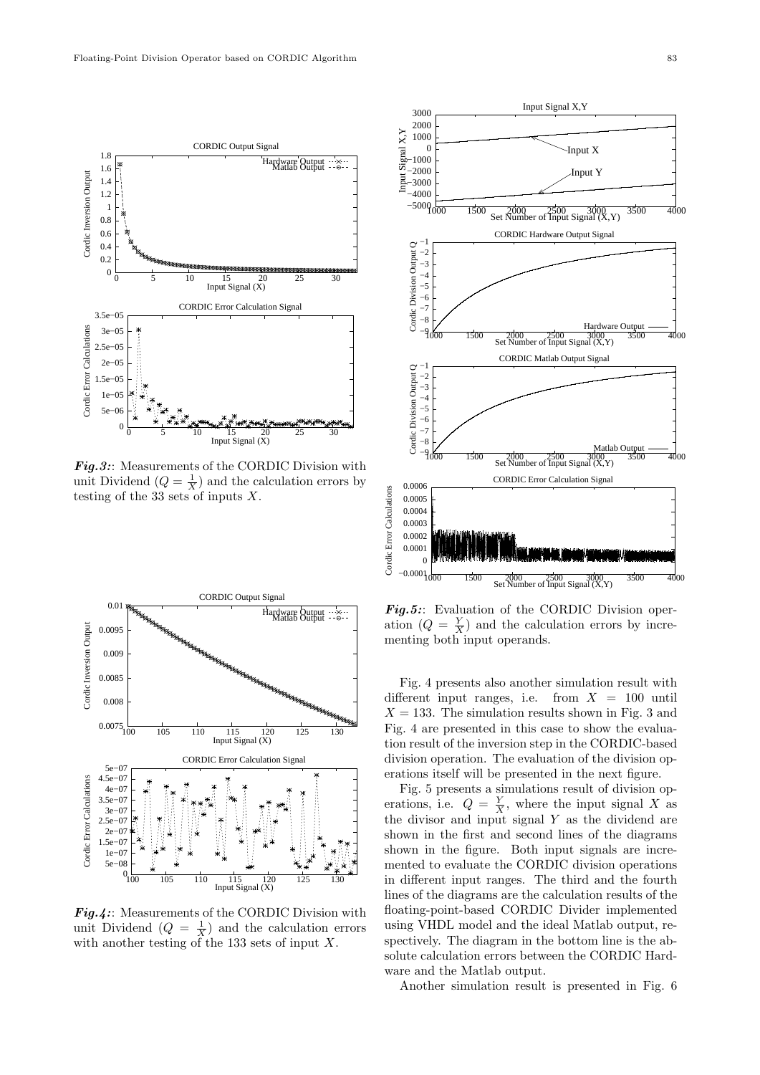

Fig.3:: Measurements of the CORDIC Division with unit Dividend  $(Q = \frac{1}{X})$  and the calculation errors by testing of the 33 sets of inputs *X*.



*Fig.4:*: Measurements of the CORDIC Division with unit Dividend  $(Q = \frac{1}{X})$  and the calculation errors with another testing of the 133 sets of input *X*.



*Fig.5:*: Evaluation of the CORDIC Division operation  $(Q = \frac{Y}{X})$  and the calculation errors by incrementing both input operands.

Fig. 4 presents also another simulation result with different input ranges, i.e. from  $X = 100$  until  $X = 133$ . The simulation results shown in Fig. 3 and Fig. 4 are presented in this case to show the evaluation result of the inversion step in the CORDIC-based division operation. The evaluation of the division operations itself will be presented in the next figure.

Fig. 5 presents a simulations result of division operations, i.e.  $Q = \frac{Y}{X}$ , where the input signal *X* as the divisor and input signal *Y* as the dividend are shown in the first and second lines of the diagrams shown in the figure. Both input signals are incremented to evaluate the CORDIC division operations in different input ranges. The third and the fourth lines of the diagrams are the calculation results of the floating-point-based CORDIC Divider implemented using VHDL model and the ideal Matlab output, respectively. The diagram in the bottom line is the absolute calculation errors between the CORDIC Hardware and the Matlab output.

Another simulation result is presented in Fig. 6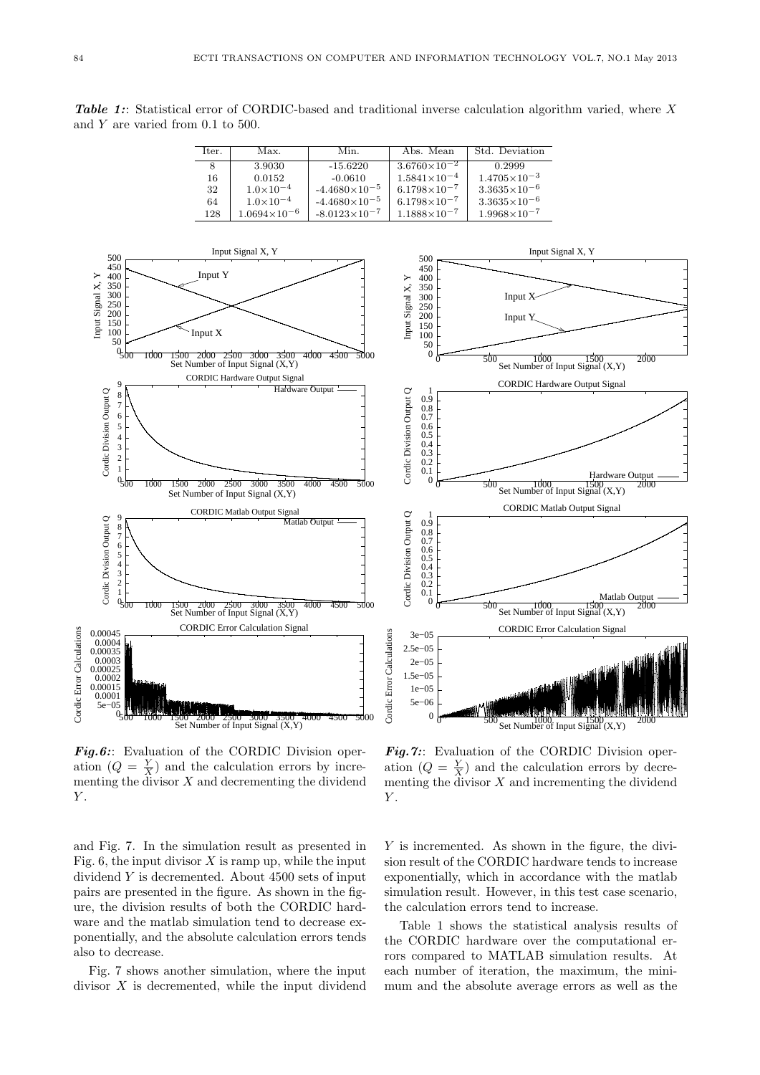*Table 1:*: Statistical error of CORDIC-based and traditional inverse calculation algorithm varied, where *X* and *Y* are varied from 0.1 to 500.

| Iter. | Max.                  | Min.                   | Abs. Mean             | Std. Deviation          |
|-------|-----------------------|------------------------|-----------------------|-------------------------|
| 8     | 3.9030                | $-15.6220$             | $3.6760\times10^{-2}$ | 0.2999                  |
| 16    | 0.0152                | $-0.0610$              | $1.5841\times10^{-4}$ | $1.4705\times10^{-3}$   |
| 32    | $1.0 \times 10^{-4}$  | $-4.4680\times10^{-5}$ | $6.1798\times10^{-7}$ | $3.3635 \times 10^{-6}$ |
| 64    | $1.0\times10^{-4}$    | $-4.4680\times10^{-5}$ | $6.1798\times10^{-7}$ | $3.3635 \times 10^{-6}$ |
| 128   | $1.0694\times10^{-6}$ | $-8.0123\times10^{-7}$ | $1.1888\times10^{-7}$ | $1.9968\times10^{-7}$   |





*Fig.6:*: Evaluation of the CORDIC Division operation  $(Q = \frac{Y}{X})$  and the calculation errors by incrementing the divisor  $X$  and decrementing the dividend *Y* .

*Fig.7:*: Evaluation of the CORDIC Division operation  $(Q = \frac{Y}{X})$  and the calculation errors by decrementing the divisor  $X$  and incrementing the dividend *Y* .

and Fig. 7. In the simulation result as presented in Fig. 6, the input divisor  $X$  is ramp up, while the input dividend *Y* is decremented. About 4500 sets of input pairs are presented in the figure. As shown in the figure, the division results of both the CORDIC hardware and the matlab simulation tend to decrease exponentially, and the absolute calculation errors tends also to decrease.

Fig. 7 shows another simulation, where the input divisor *X* is decremented, while the input dividend *Y* is incremented. As shown in the figure, the division result of the CORDIC hardware tends to increase exponentially, which in accordance with the matlab simulation result. However, in this test case scenario, the calculation errors tend to increase.

Table 1 shows the statistical analysis results of the CORDIC hardware over the computational errors compared to MATLAB simulation results. At each number of iteration, the maximum, the minimum and the absolute average errors as well as the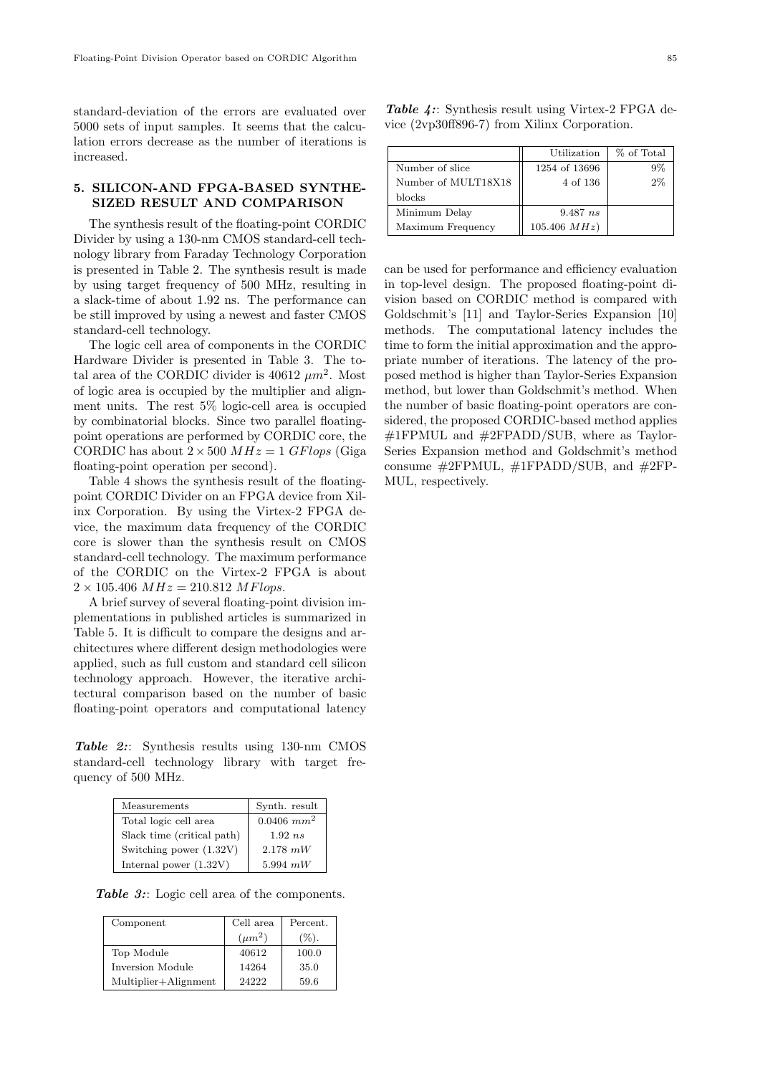standard-deviation of the errors are evaluated over 5000 sets of input samples. It seems that the calculation errors decrease as the number of iterations is increased.

## **5. SILICON-AND FPGA-BASED SYNTHE-SIZED RESULT AND COMPARISON**

The synthesis result of the floating-point CORDIC Divider by using a 130-nm CMOS standard-cell technology library from Faraday Technology Corporation is presented in Table 2. The synthesis result is made by using target frequency of 500 MHz, resulting in a slack-time of about 1.92 ns. The performance can be still improved by using a newest and faster CMOS standard-cell technology.

The logic cell area of components in the CORDIC Hardware Divider is presented in Table 3. The total area of the CORDIC divider is  $40612 \ \mu m^2$ . Most of logic area is occupied by the multiplier and alignment units. The rest 5% logic-cell area is occupied by combinatorial blocks. Since two parallel floatingpoint operations are performed by CORDIC core, the CORDIC has about  $2 \times 500$  *MHz* = 1 *GFlops* (Giga floating-point operation per second).

Table 4 shows the synthesis result of the floatingpoint CORDIC Divider on an FPGA device from Xilinx Corporation. By using the Virtex-2 FPGA device, the maximum data frequency of the CORDIC core is slower than the synthesis result on CMOS standard-cell technology. The maximum performance of the CORDIC on the Virtex-2 FPGA is about  $2 \times 105.406 \ MHz = 210.812 \ MFlops.$ 

A brief survey of several floating-point division implementations in published articles is summarized in Table 5. It is difficult to compare the designs and architectures where different design methodologies were applied, such as full custom and standard cell silicon technology approach. However, the iterative architectural comparison based on the number of basic floating-point operators and computational latency

*Table 2:*: Synthesis results using 130-nm CMOS standard-cell technology library with target frequency of 500 MHz.

| Measurements               | Synth. result   |
|----------------------------|-----------------|
| Total logic cell area      | $0.0406$ $mm^2$ |
| Slack time (critical path) | $1.92$ ns       |
| Switching power (1.32V)    | $2.178$ mW      |
| Internal power $(1.32V)$   | 5.994 $mW$      |

*Table 3:*: Logic cell area of the components.

| Component            | Cell area<br>$(\mu m^2)$ | Percent.<br>$(\%)$ . |
|----------------------|--------------------------|----------------------|
| Top Module           | 40612                    | 100.0                |
| Inversion Module     | 14264                    | 35.0                 |
| Multiplier+Alignment | 24222                    | 59.6                 |

|  |  | <b>Table 4::</b> Synthesis result using Virtex-2 FPGA de- |  |
|--|--|-----------------------------------------------------------|--|
|  |  | vice (2vp30ff896-7) from Xilinx Corporation.              |  |

|                     | Utilization       | % of Total |
|---------------------|-------------------|------------|
| Number of slice     | 1254 of 13696     | $9\%$      |
| Number of MULT18X18 | 4 of 136          | $2\%$      |
| blocks              |                   |            |
| Minimum Delay       | 9.487ns           |            |
| Maximum Frequency   | $105.406 \; MHz)$ |            |

can be used for performance and efficiency evaluation in top-level design. The proposed floating-point division based on CORDIC method is compared with Goldschmit's [11] and Taylor-Series Expansion [10] methods. The computational latency includes the time to form the initial approximation and the appropriate number of iterations. The latency of the proposed method is higher than Taylor-Series Expansion method, but lower than Goldschmit's method. When the number of basic floating-point operators are considered, the proposed CORDIC-based method applies #1FPMUL and #2FPADD/SUB, where as Taylor-Series Expansion method and Goldschmit's method consume  $\#2$ FPMUL,  $\#1$ FPADD/SUB, and  $\#2$ FP-MUL, respectively.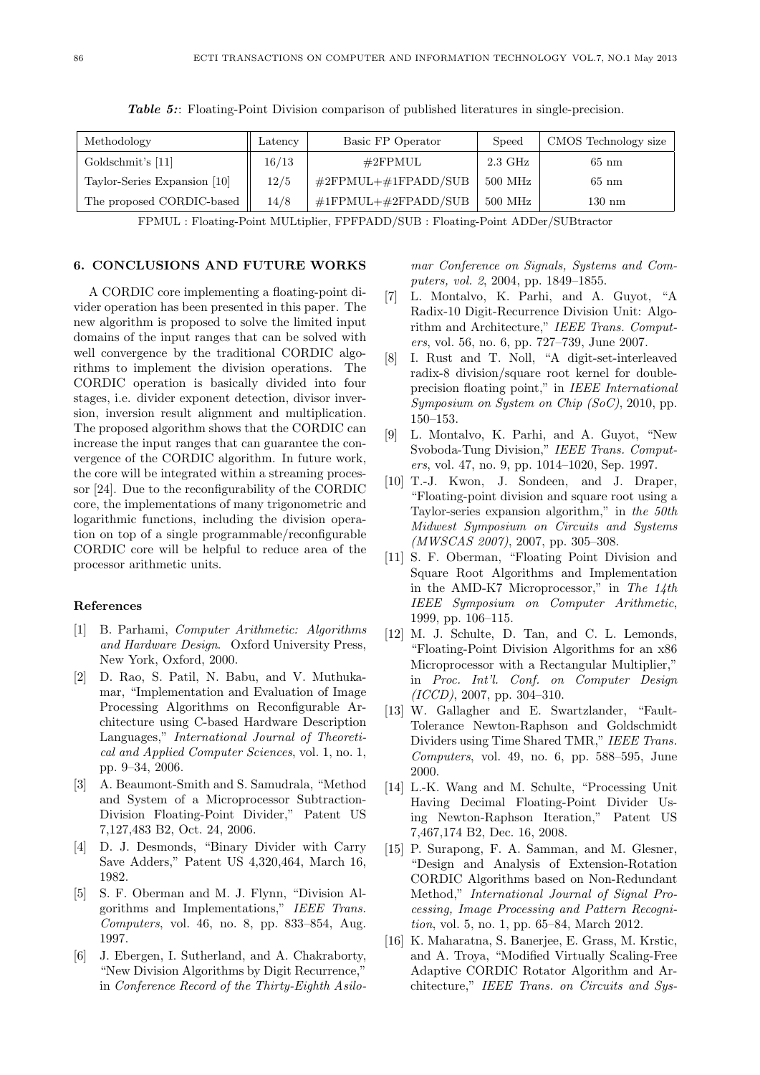| Methodology                  | Latency | Basic FP Operator            | Speed            | CMOS Technology size |
|------------------------------|---------|------------------------------|------------------|----------------------|
| Goldschmit's [11]            | 16/13   | $\#2\mathrm{FPMUL}$          | $2.3\text{ GHz}$ | $65 \text{ nm}$      |
| Taylor-Series Expansion [10] | 12/5    | $\#2$ FPMUL+ $\#1$ FPADD/SUB | $500$ MHz        | $65 \text{ nm}$      |
| The proposed CORDIC-based    | 14/8    | $\#1$ FPMUL+ $\#2$ FPADD/SUB | $500$ MHz        | $130 \text{ nm}$     |

**Table 5::** Floating-Point Division comparison of published literatures in single-precision.

FPMUL : Floating-Point MULtiplier, FPFPADD/SUB : Floating-Point ADDer/SUBtractor

#### **6. CONCLUSIONS AND FUTURE WORKS**

A CORDIC core implementing a floating-point divider operation has been presented in this paper. The new algorithm is proposed to solve the limited input domains of the input ranges that can be solved with well convergence by the traditional CORDIC algorithms to implement the division operations. The CORDIC operation is basically divided into four stages, i.e. divider exponent detection, divisor inversion, inversion result alignment and multiplication. The proposed algorithm shows that the CORDIC can increase the input ranges that can guarantee the convergence of the CORDIC algorithm. In future work, the core will be integrated within a streaming processor [24]. Due to the reconfigurability of the CORDIC core, the implementations of many trigonometric and logarithmic functions, including the division operation on top of a single programmable/reconfigurable CORDIC core will be helpful to reduce area of the processor arithmetic units.

#### **References**

- [1] B. Parhami, *Computer Arithmetic: Algorithms and Hardware Design*. Oxford University Press, New York, Oxford, 2000.
- [2] D. Rao, S. Patil, N. Babu, and V. Muthukamar, "Implementation and Evaluation of Image Processing Algorithms on Reconfigurable Architecture using C-based Hardware Description Languages," *International Journal of Theoretical and Applied Computer Sciences*, vol. 1, no. 1, pp. 9–34, 2006.
- [3] A. Beaumont-Smith and S. Samudrala, "Method and System of a Microprocessor Subtraction-Division Floating-Point Divider," Patent US 7,127,483 B2, Oct. 24, 2006.
- [4] D. J. Desmonds, "Binary Divider with Carry Save Adders," Patent US 4,320,464, March 16, 1982.
- [5] S. F. Oberman and M. J. Flynn, "Division Algorithms and Implementations," *IEEE Trans. Computers*, vol. 46, no. 8, pp. 833–854, Aug. 1997.
- [6] J. Ebergen, I. Sutherland, and A. Chakraborty, "New Division Algorithms by Digit Recurrence," in *Conference Record of the Thirty-Eighth Asilo-*

*mar Conference on Signals, Systems and Computers, vol. 2*, 2004, pp. 1849–1855.

- [7] L. Montalvo, K. Parhi, and A. Guyot, "A Radix-10 Digit-Recurrence Division Unit: Algorithm and Architecture," *IEEE Trans. Computers*, vol. 56, no. 6, pp. 727–739, June 2007.
- [8] I. Rust and T. Noll, "A digit-set-interleaved radix-8 division/square root kernel for doubleprecision floating point," in *IEEE International Symposium on System on Chip (SoC)*, 2010, pp. 150–153.
- [9] L. Montalvo, K. Parhi, and A. Guyot, "New Svoboda-Tung Division," *IEEE Trans. Computers*, vol. 47, no. 9, pp. 1014–1020, Sep. 1997.
- [10] T.-J. Kwon, J. Sondeen, and J. Draper, "Floating-point division and square root using a Taylor-series expansion algorithm," in *the 50th Midwest Symposium on Circuits and Systems (MWSCAS 2007)*, 2007, pp. 305–308.
- [11] S. F. Oberman, "Floating Point Division and Square Root Algorithms and Implementation in the AMD-K7 Microprocessor," in *The 14th IEEE Symposium on Computer Arithmetic*, 1999, pp. 106–115.
- [12] M. J. Schulte, D. Tan, and C. L. Lemonds, "Floating-Point Division Algorithms for an x86 Microprocessor with a Rectangular Multiplier," in *Proc. Int'l. Conf. on Computer Design (ICCD)*, 2007, pp. 304–310.
- [13] W. Gallagher and E. Swartzlander, "Fault-Tolerance Newton-Raphson and Goldschmidt Dividers using Time Shared TMR," *IEEE Trans. Computers*, vol. 49, no. 6, pp. 588–595, June 2000.
- [14] L.-K. Wang and M. Schulte, "Processing Unit Having Decimal Floating-Point Divider Using Newton-Raphson Iteration," Patent US 7,467,174 B2, Dec. 16, 2008.
- [15] P. Surapong, F. A. Samman, and M. Glesner, "Design and Analysis of Extension-Rotation CORDIC Algorithms based on Non-Redundant Method," *International Journal of Signal Processing, Image Processing and Pattern Recognition*, vol. 5, no. 1, pp. 65–84, March 2012.
- [16] K. Maharatna, S. Banerjee, E. Grass, M. Krstic, and A. Troya, "Modified Virtually Scaling-Free Adaptive CORDIC Rotator Algorithm and Architecture," *IEEE Trans. on Circuits and Sys-*